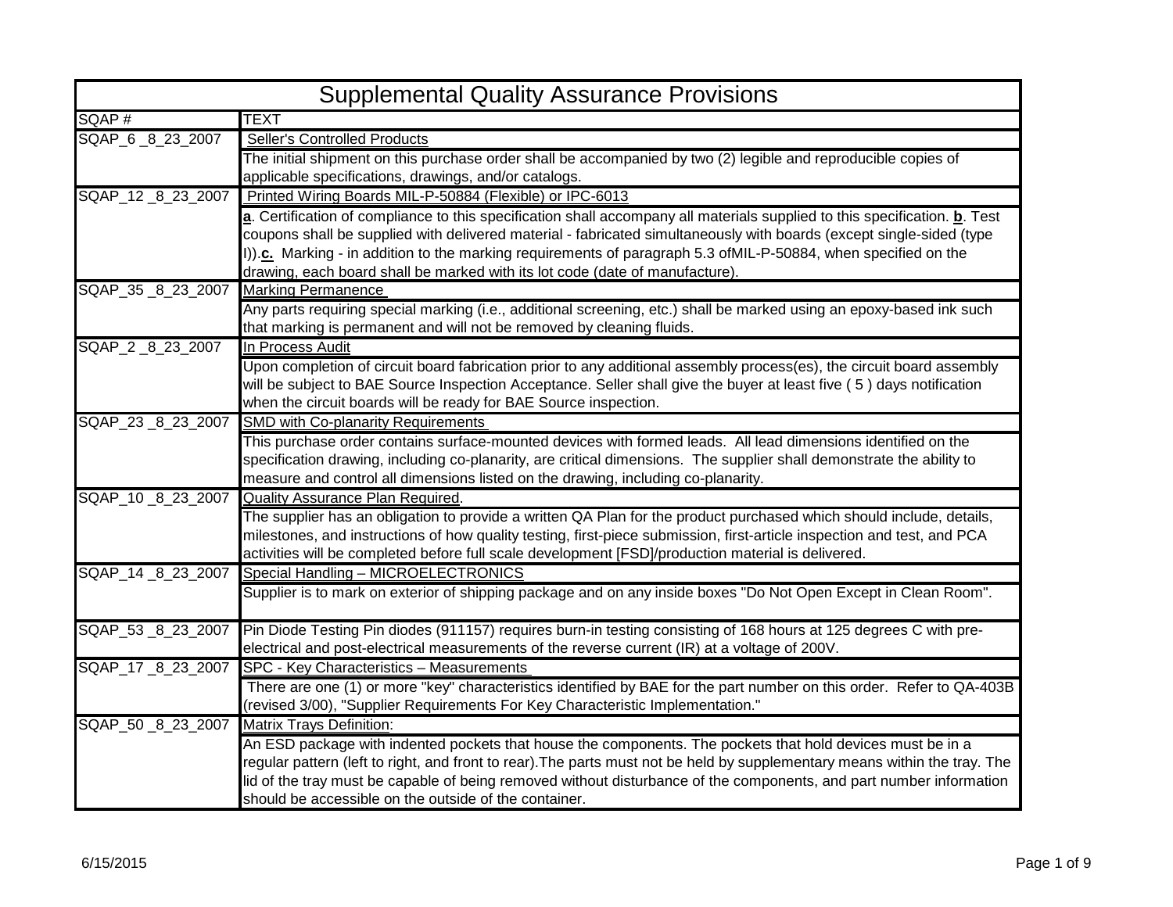| <b>Supplemental Quality Assurance Provisions</b> |                                                                                                                                                                                                                                                                                                                                                                                                                                                               |
|--------------------------------------------------|---------------------------------------------------------------------------------------------------------------------------------------------------------------------------------------------------------------------------------------------------------------------------------------------------------------------------------------------------------------------------------------------------------------------------------------------------------------|
| SQAP#                                            | TEXT                                                                                                                                                                                                                                                                                                                                                                                                                                                          |
| SQAP_6 _8 _23 _2007                              | Seller's Controlled Products                                                                                                                                                                                                                                                                                                                                                                                                                                  |
|                                                  | The initial shipment on this purchase order shall be accompanied by two (2) legible and reproducible copies of                                                                                                                                                                                                                                                                                                                                                |
|                                                  | applicable specifications, drawings, and/or catalogs.                                                                                                                                                                                                                                                                                                                                                                                                         |
| SQAP_12 _8 23 2007                               | Printed Wiring Boards MIL-P-50884 (Flexible) or IPC-6013                                                                                                                                                                                                                                                                                                                                                                                                      |
|                                                  | a. Certification of compliance to this specification shall accompany all materials supplied to this specification. <b>b</b> . Test<br>coupons shall be supplied with delivered material - fabricated simultaneously with boards (except single-sided (type<br>I)).c. Marking - in addition to the marking requirements of paragraph 5.3 of MIL-P-50884, when specified on the<br>drawing, each board shall be marked with its lot code (date of manufacture). |
| SQAP_35 _8 23 2007                               | <b>Marking Permanence</b>                                                                                                                                                                                                                                                                                                                                                                                                                                     |
|                                                  | Any parts requiring special marking (i.e., additional screening, etc.) shall be marked using an epoxy-based ink such<br>that marking is permanent and will not be removed by cleaning fluids.                                                                                                                                                                                                                                                                 |
| SQAP_2 _8 23 2007                                | In Process Audit                                                                                                                                                                                                                                                                                                                                                                                                                                              |
|                                                  | Upon completion of circuit board fabrication prior to any additional assembly process(es), the circuit board assembly<br>will be subject to BAE Source Inspection Acceptance. Seller shall give the buyer at least five (5) days notification<br>when the circuit boards will be ready for BAE Source inspection.                                                                                                                                             |
| SQAP_23 _8_23_2007                               | <b>SMD with Co-planarity Requirements</b>                                                                                                                                                                                                                                                                                                                                                                                                                     |
|                                                  | This purchase order contains surface-mounted devices with formed leads. All lead dimensions identified on the<br>specification drawing, including co-planarity, are critical dimensions. The supplier shall demonstrate the ability to<br>measure and control all dimensions listed on the drawing, including co-planarity.                                                                                                                                   |
| SQAP_10 _8 23 2007                               | Quality Assurance Plan Required.                                                                                                                                                                                                                                                                                                                                                                                                                              |
|                                                  | The supplier has an obligation to provide a written QA Plan for the product purchased which should include, details,<br>milestones, and instructions of how quality testing, first-piece submission, first-article inspection and test, and PCA<br>activities will be completed before full scale development [FSD]/production material is delivered.                                                                                                         |
| SQAP_14 _8 23 2007                               | Special Handling - MICROELECTRONICS                                                                                                                                                                                                                                                                                                                                                                                                                           |
|                                                  | Supplier is to mark on exterior of shipping package and on any inside boxes "Do Not Open Except in Clean Room".                                                                                                                                                                                                                                                                                                                                               |
| SQAP_53 _8 23 2007                               | Pin Diode Testing Pin diodes (911157) requires burn-in testing consisting of 168 hours at 125 degrees C with pre-                                                                                                                                                                                                                                                                                                                                             |
|                                                  | electrical and post-electrical measurements of the reverse current (IR) at a voltage of 200V.                                                                                                                                                                                                                                                                                                                                                                 |
| SQAP_17 _8_23_2007                               | SPC - Key Characteristics - Measurements                                                                                                                                                                                                                                                                                                                                                                                                                      |
|                                                  | There are one (1) or more "key" characteristics identified by BAE for the part number on this order. Refer to QA-403B                                                                                                                                                                                                                                                                                                                                         |
|                                                  | (revised 3/00), "Supplier Requirements For Key Characteristic Implementation."                                                                                                                                                                                                                                                                                                                                                                                |
| SQAP_50 _8 23 2007                               | <b>Matrix Trays Definition:</b>                                                                                                                                                                                                                                                                                                                                                                                                                               |
|                                                  | An ESD package with indented pockets that house the components. The pockets that hold devices must be in a                                                                                                                                                                                                                                                                                                                                                    |
|                                                  | regular pattern (left to right, and front to rear). The parts must not be held by supplementary means within the tray. The                                                                                                                                                                                                                                                                                                                                    |
|                                                  | lid of the tray must be capable of being removed without disturbance of the components, and part number information                                                                                                                                                                                                                                                                                                                                           |
|                                                  | should be accessible on the outside of the container.                                                                                                                                                                                                                                                                                                                                                                                                         |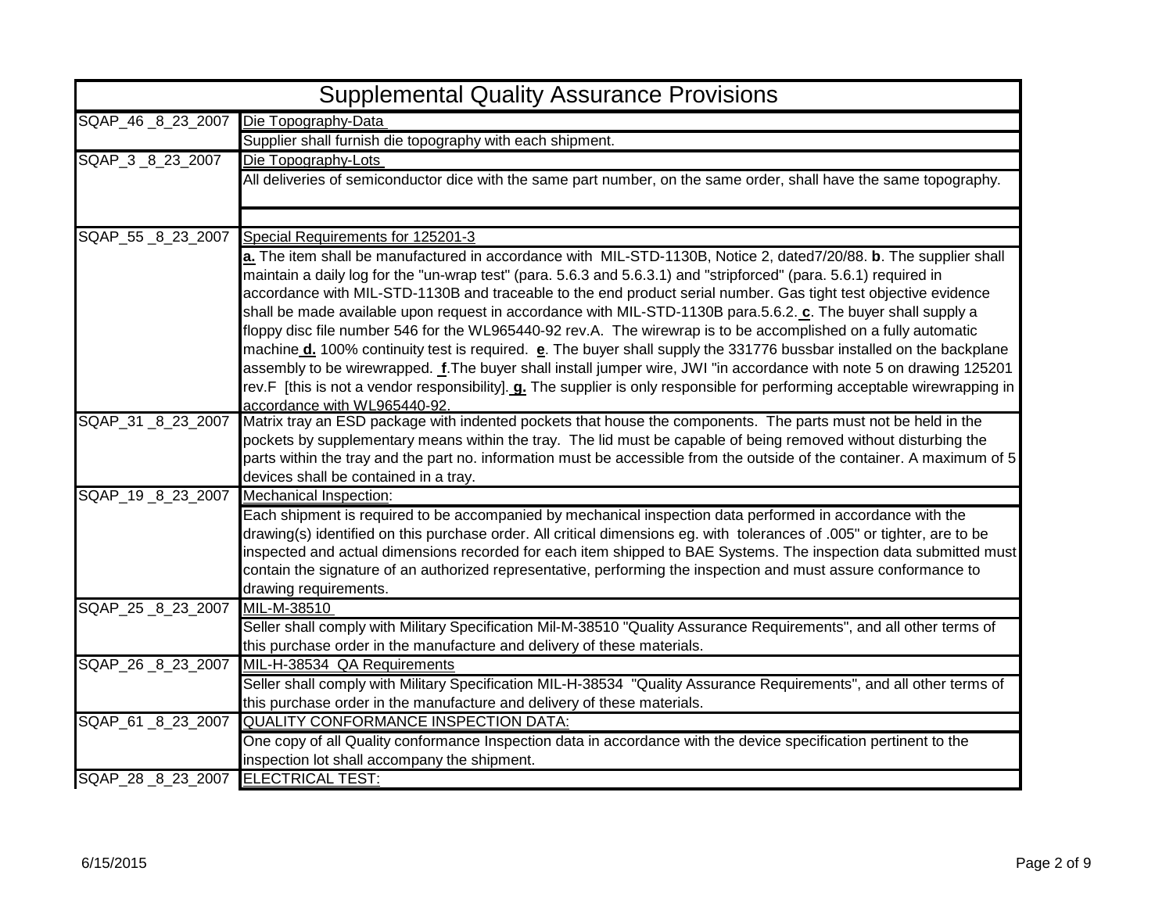|                                    | <b>Supplemental Quality Assurance Provisions</b>                                                                                                                                                                                              |
|------------------------------------|-----------------------------------------------------------------------------------------------------------------------------------------------------------------------------------------------------------------------------------------------|
| SQAP_46 8 23 2007                  | Die Topography-Data                                                                                                                                                                                                                           |
|                                    | Supplier shall furnish die topography with each shipment.                                                                                                                                                                                     |
| SQAP_3 _8_23_2007                  | Die Topography-Lots                                                                                                                                                                                                                           |
|                                    | All deliveries of semiconductor dice with the same part number, on the same order, shall have the same topography.                                                                                                                            |
|                                    |                                                                                                                                                                                                                                               |
|                                    |                                                                                                                                                                                                                                               |
|                                    | SQAP_55 _8_23_2007 Special Requirements for 125201-3                                                                                                                                                                                          |
|                                    | a. The item shall be manufactured in accordance with MIL-STD-1130B, Notice 2, dated7/20/88. b. The supplier shall                                                                                                                             |
|                                    | maintain a daily log for the "un-wrap test" (para. 5.6.3 and 5.6.3.1) and "stripforced" (para. 5.6.1) required in                                                                                                                             |
|                                    | accordance with MIL-STD-1130B and traceable to the end product serial number. Gas tight test objective evidence                                                                                                                               |
|                                    | shall be made available upon request in accordance with MIL-STD-1130B para.5.6.2. c. The buyer shall supply a                                                                                                                                 |
|                                    | floppy disc file number 546 for the WL965440-92 rev.A. The wirewrap is to be accomplished on a fully automatic                                                                                                                                |
|                                    | machine d. 100% continuity test is required. e. The buyer shall supply the 331776 bussbar installed on the backplane                                                                                                                          |
|                                    | assembly to be wirewrapped. f.The buyer shall install jumper wire, JWI "in accordance with note 5 on drawing 125201                                                                                                                           |
|                                    | rev.F [this is not a vendor responsibility]. <b>g.</b> The supplier is only responsible for performing acceptable wirewrapping in                                                                                                             |
|                                    | accordance with WL965440-92.                                                                                                                                                                                                                  |
| SQAP_31 _8_23_2007                 | Matrix tray an ESD package with indented pockets that house the components. The parts must not be held in the                                                                                                                                 |
|                                    | pockets by supplementary means within the tray. The lid must be capable of being removed without disturbing the                                                                                                                               |
|                                    | parts within the tray and the part no. information must be accessible from the outside of the container. A maximum of 5                                                                                                                       |
|                                    | devices shall be contained in a tray.                                                                                                                                                                                                         |
| SQAP_19 _8_23_2007                 | <b>Mechanical Inspection:</b>                                                                                                                                                                                                                 |
|                                    | Each shipment is required to be accompanied by mechanical inspection data performed in accordance with the                                                                                                                                    |
|                                    | drawing(s) identified on this purchase order. All critical dimensions eg. with tolerances of .005" or tighter, are to be<br>inspected and actual dimensions recorded for each item shipped to BAE Systems. The inspection data submitted must |
|                                    | contain the signature of an authorized representative, performing the inspection and must assure conformance to                                                                                                                               |
|                                    | drawing requirements.                                                                                                                                                                                                                         |
| SQAP 25 8 23 2007 MIL-M-38510      |                                                                                                                                                                                                                                               |
|                                    | Seller shall comply with Military Specification Mil-M-38510 "Quality Assurance Requirements", and all other terms of                                                                                                                          |
|                                    | this purchase order in the manufacture and delivery of these materials.                                                                                                                                                                       |
|                                    | SQAP_26 _8 _23 _2007 MIL-H-38534 QA Requirements                                                                                                                                                                                              |
|                                    | Seller shall comply with Military Specification MIL-H-38534 "Quality Assurance Requirements", and all other terms of                                                                                                                          |
|                                    | this purchase order in the manufacture and delivery of these materials.                                                                                                                                                                       |
|                                    | SQAP_61_8_23_2007 QUALITY CONFORMANCE INSPECTION DATA:                                                                                                                                                                                        |
|                                    | One copy of all Quality conformance Inspection data in accordance with the device specification pertinent to the                                                                                                                              |
|                                    | inspection lot shall accompany the shipment.                                                                                                                                                                                                  |
| SQAP_28_8_23_2007 ELECTRICAL TEST: |                                                                                                                                                                                                                                               |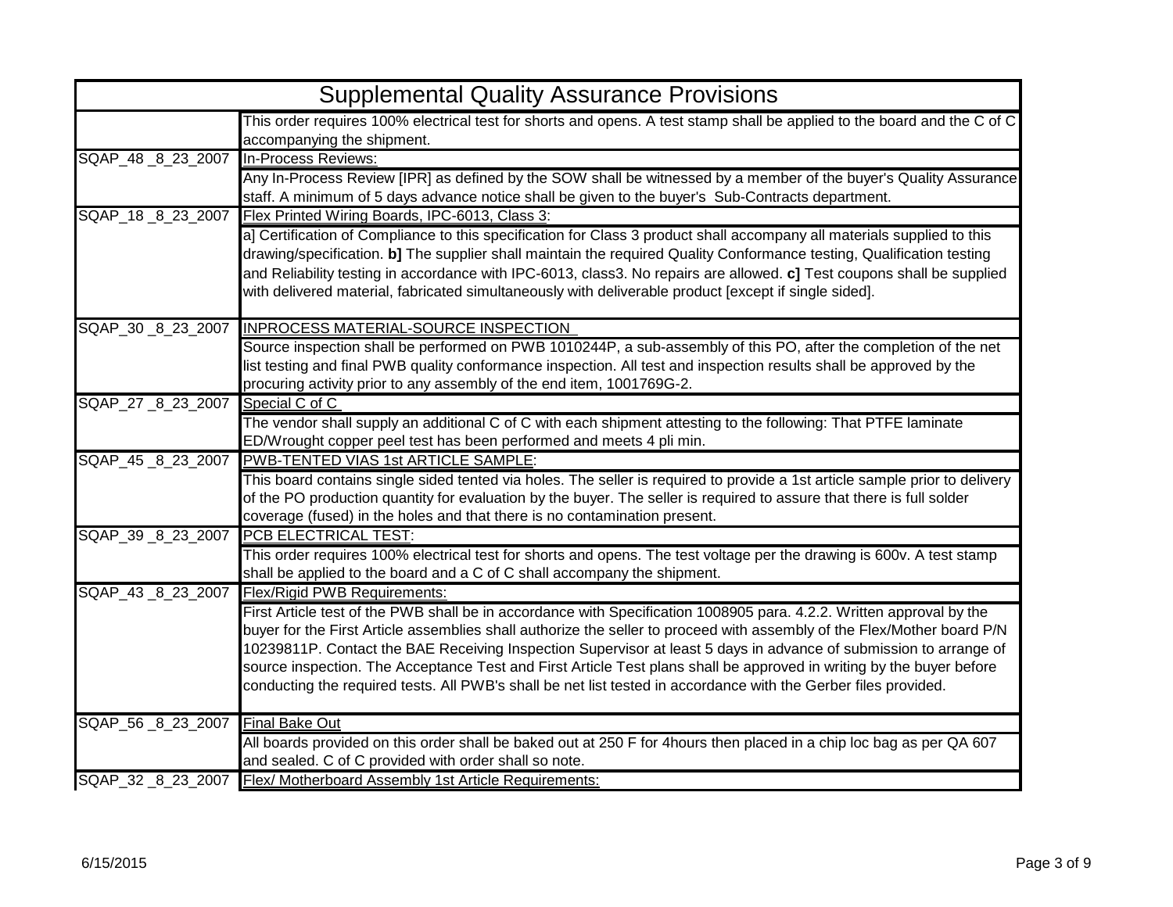|                                      | <b>Supplemental Quality Assurance Provisions</b>                                                                                                                                                                                                                                                                                                                                                                                                                                                                                                                                                                                                       |  |
|--------------------------------------|--------------------------------------------------------------------------------------------------------------------------------------------------------------------------------------------------------------------------------------------------------------------------------------------------------------------------------------------------------------------------------------------------------------------------------------------------------------------------------------------------------------------------------------------------------------------------------------------------------------------------------------------------------|--|
|                                      | This order requires 100% electrical test for shorts and opens. A test stamp shall be applied to the board and the C of C<br>accompanying the shipment.                                                                                                                                                                                                                                                                                                                                                                                                                                                                                                 |  |
| SQAP_48 8 23 2007                    | In-Process Reviews:<br>Any In-Process Review [IPR] as defined by the SOW shall be witnessed by a member of the buyer's Quality Assurance<br>staff. A minimum of 5 days advance notice shall be given to the buyer's Sub-Contracts department.                                                                                                                                                                                                                                                                                                                                                                                                          |  |
| SQAP 18 8 23 2007                    | Flex Printed Wiring Boards, IPC-6013, Class 3:<br>a] Certification of Compliance to this specification for Class 3 product shall accompany all materials supplied to this<br>drawing/specification. b] The supplier shall maintain the required Quality Conformance testing, Qualification testing<br>and Reliability testing in accordance with IPC-6013, class3. No repairs are allowed. c] Test coupons shall be supplied<br>with delivered material, fabricated simultaneously with deliverable product [except if single sided].                                                                                                                  |  |
|                                      | SQAP_30_8_23_2007 INPROCESS MATERIAL-SOURCE INSPECTION<br>Source inspection shall be performed on PWB 1010244P, a sub-assembly of this PO, after the completion of the net<br>list testing and final PWB quality conformance inspection. All test and inspection results shall be approved by the<br>procuring activity prior to any assembly of the end item, 1001769G-2.                                                                                                                                                                                                                                                                             |  |
| SQAP_27 _8 23 2007                   | Special C of C<br>The vendor shall supply an additional C of C with each shipment attesting to the following: That PTFE laminate<br>ED/Wrought copper peel test has been performed and meets 4 pli min.                                                                                                                                                                                                                                                                                                                                                                                                                                                |  |
| SQAP_45 _8 23 2007                   | PWB-TENTED VIAS 1st ARTICLE SAMPLE:<br>This board contains single sided tented via holes. The seller is required to provide a 1st article sample prior to delivery<br>of the PO production quantity for evaluation by the buyer. The seller is required to assure that there is full solder<br>coverage (fused) in the holes and that there is no contamination present.                                                                                                                                                                                                                                                                               |  |
| SQAP_39 _8_23_2007                   | PCB ELECTRICAL TEST:<br>This order requires 100% electrical test for shorts and opens. The test voltage per the drawing is 600v. A test stamp<br>shall be applied to the board and a C of C shall accompany the shipment.                                                                                                                                                                                                                                                                                                                                                                                                                              |  |
| SQAP_43 _8 23 2007                   | <b>Flex/Rigid PWB Requirements:</b><br>First Article test of the PWB shall be in accordance with Specification 1008905 para. 4.2.2. Written approval by the<br>buyer for the First Article assemblies shall authorize the seller to proceed with assembly of the Flex/Mother board P/N<br>10239811P. Contact the BAE Receiving Inspection Supervisor at least 5 days in advance of submission to arrange of<br>source inspection. The Acceptance Test and First Article Test plans shall be approved in writing by the buyer before<br>conducting the required tests. All PWB's shall be net list tested in accordance with the Gerber files provided. |  |
| SQAP_56 _8_23_2007    Final Bake Out | All boards provided on this order shall be baked out at 250 F for 4hours then placed in a chip loc bag as per QA 607<br>and sealed. C of C provided with order shall so note.                                                                                                                                                                                                                                                                                                                                                                                                                                                                          |  |
|                                      | SQAP_32 _8_23_2007 Flex/ Motherboard Assembly 1st Article Requirements:                                                                                                                                                                                                                                                                                                                                                                                                                                                                                                                                                                                |  |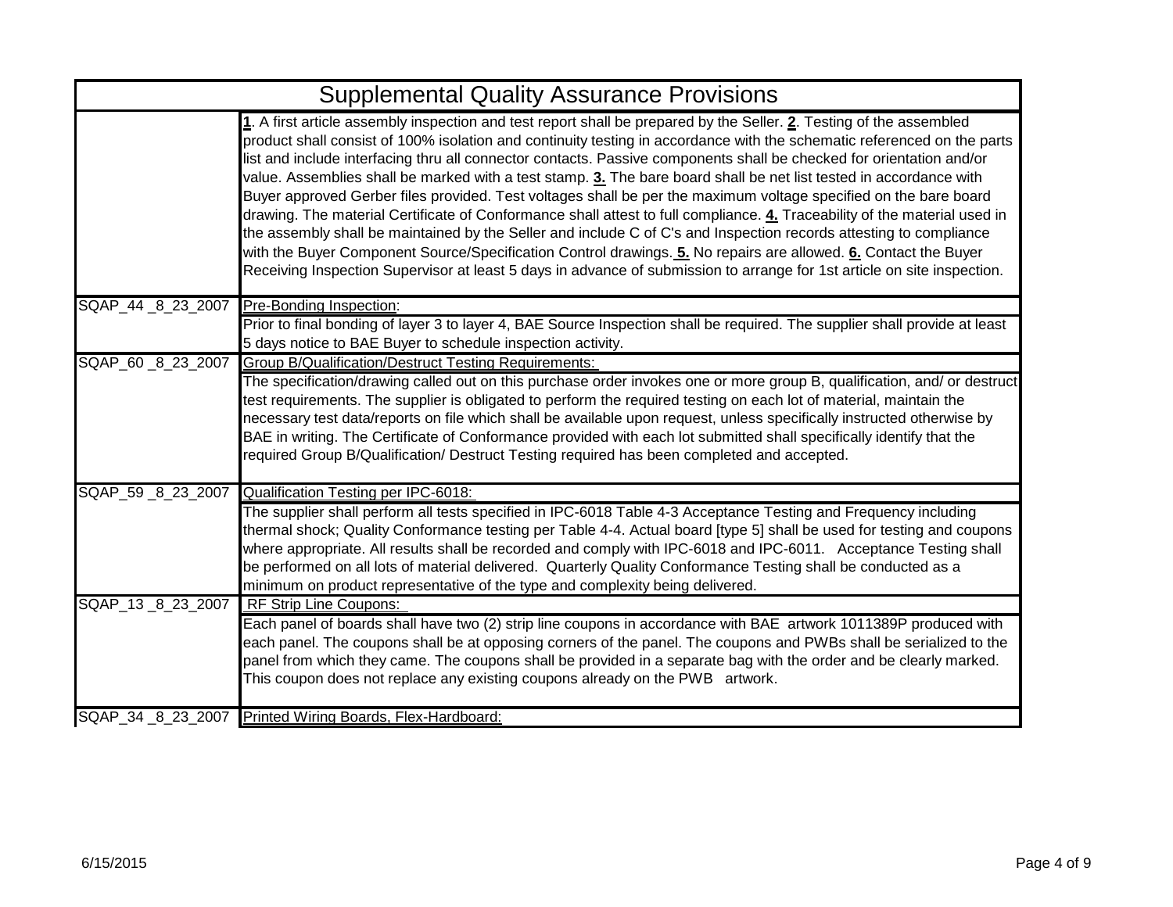| <b>Supplemental Quality Assurance Provisions</b> |                                                                                                                                                                                                                                                                                                                                                                                                                                                                                                                                                                                                                                                                                                                                                                                                                                                                                                                                                                                                                                                                                                                   |
|--------------------------------------------------|-------------------------------------------------------------------------------------------------------------------------------------------------------------------------------------------------------------------------------------------------------------------------------------------------------------------------------------------------------------------------------------------------------------------------------------------------------------------------------------------------------------------------------------------------------------------------------------------------------------------------------------------------------------------------------------------------------------------------------------------------------------------------------------------------------------------------------------------------------------------------------------------------------------------------------------------------------------------------------------------------------------------------------------------------------------------------------------------------------------------|
|                                                  | 1. A first article assembly inspection and test report shall be prepared by the Seller. 2. Testing of the assembled<br>product shall consist of 100% isolation and continuity testing in accordance with the schematic referenced on the parts<br>list and include interfacing thru all connector contacts. Passive components shall be checked for orientation and/or<br>value. Assemblies shall be marked with a test stamp. 3. The bare board shall be net list tested in accordance with<br>Buyer approved Gerber files provided. Test voltages shall be per the maximum voltage specified on the bare board<br>drawing. The material Certificate of Conformance shall attest to full compliance. 4. Traceability of the material used in<br>the assembly shall be maintained by the Seller and include C of C's and Inspection records attesting to compliance<br>with the Buyer Component Source/Specification Control drawings. 5. No repairs are allowed. 6. Contact the Buyer<br>Receiving Inspection Supervisor at least 5 days in advance of submission to arrange for 1st article on site inspection. |
| SQAP_44 _8_23_2007                               | Pre-Bonding Inspection:                                                                                                                                                                                                                                                                                                                                                                                                                                                                                                                                                                                                                                                                                                                                                                                                                                                                                                                                                                                                                                                                                           |
|                                                  | Prior to final bonding of layer 3 to layer 4, BAE Source Inspection shall be required. The supplier shall provide at least<br>5 days notice to BAE Buyer to schedule inspection activity.                                                                                                                                                                                                                                                                                                                                                                                                                                                                                                                                                                                                                                                                                                                                                                                                                                                                                                                         |
| SQAP_60 _8 23 2007                               | <b>Group B/Qualification/Destruct Testing Requirements:</b>                                                                                                                                                                                                                                                                                                                                                                                                                                                                                                                                                                                                                                                                                                                                                                                                                                                                                                                                                                                                                                                       |
|                                                  | The specification/drawing called out on this purchase order invokes one or more group B, qualification, and/ or destruct<br>test requirements. The supplier is obligated to perform the required testing on each lot of material, maintain the<br>necessary test data/reports on file which shall be available upon request, unless specifically instructed otherwise by<br>BAE in writing. The Certificate of Conformance provided with each lot submitted shall specifically identify that the<br>required Group B/Qualification/ Destruct Testing required has been completed and accepted.                                                                                                                                                                                                                                                                                                                                                                                                                                                                                                                    |
| SQAP_59 _8 23 2007                               | Qualification Testing per IPC-6018:                                                                                                                                                                                                                                                                                                                                                                                                                                                                                                                                                                                                                                                                                                                                                                                                                                                                                                                                                                                                                                                                               |
|                                                  | The supplier shall perform all tests specified in IPC-6018 Table 4-3 Acceptance Testing and Frequency including<br>thermal shock; Quality Conformance testing per Table 4-4. Actual board [type 5] shall be used for testing and coupons<br>where appropriate. All results shall be recorded and comply with IPC-6018 and IPC-6011. Acceptance Testing shall<br>be performed on all lots of material delivered. Quarterly Quality Conformance Testing shall be conducted as a<br>minimum on product representative of the type and complexity being delivered.                                                                                                                                                                                                                                                                                                                                                                                                                                                                                                                                                    |
| SQAP_13 _8 23 2007                               | <b>RF Strip Line Coupons:</b>                                                                                                                                                                                                                                                                                                                                                                                                                                                                                                                                                                                                                                                                                                                                                                                                                                                                                                                                                                                                                                                                                     |
|                                                  | Each panel of boards shall have two (2) strip line coupons in accordance with BAE artwork 1011389P produced with<br>each panel. The coupons shall be at opposing corners of the panel. The coupons and PWBs shall be serialized to the<br>panel from which they came. The coupons shall be provided in a separate bag with the order and be clearly marked.<br>This coupon does not replace any existing coupons already on the PWB artwork.                                                                                                                                                                                                                                                                                                                                                                                                                                                                                                                                                                                                                                                                      |
|                                                  | SQAP_34 _8_23_2007 Printed Wiring Boards, Flex-Hardboard:                                                                                                                                                                                                                                                                                                                                                                                                                                                                                                                                                                                                                                                                                                                                                                                                                                                                                                                                                                                                                                                         |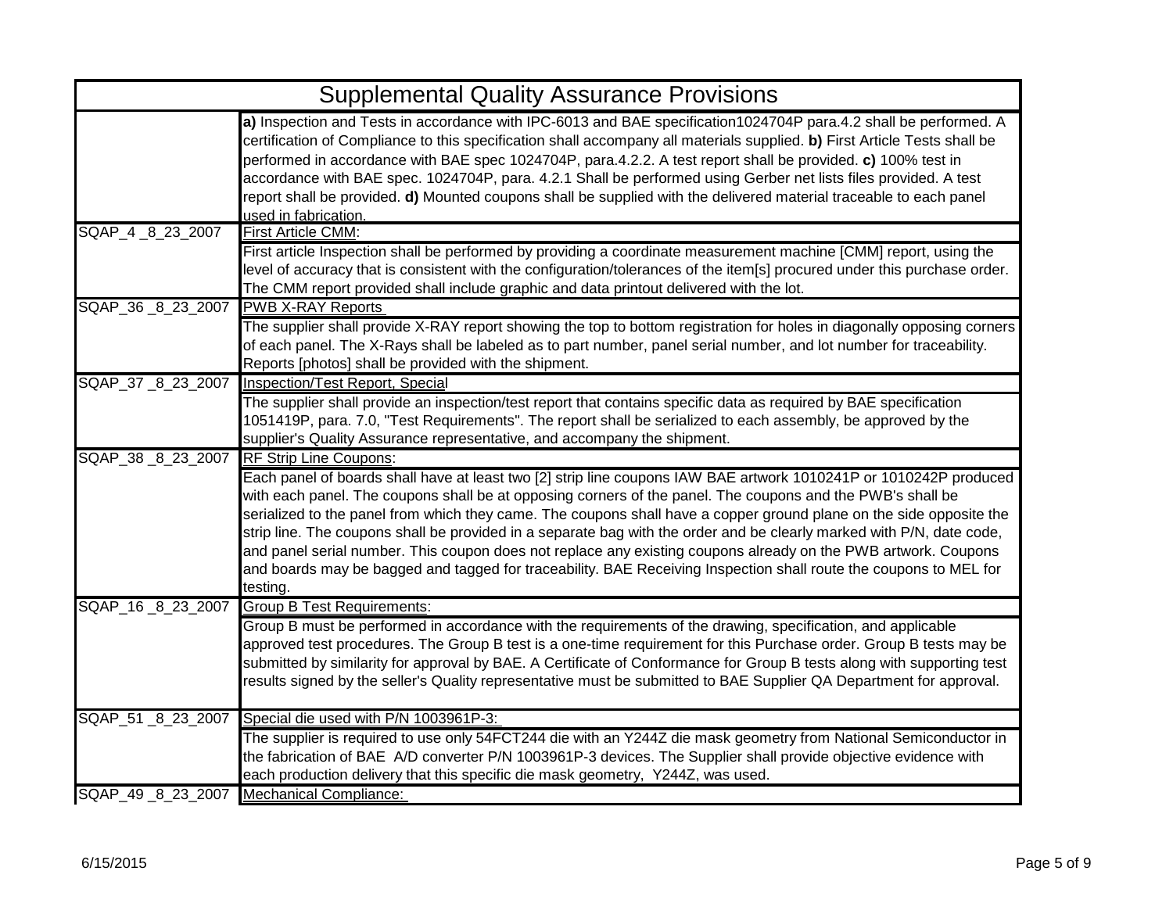| <b>Supplemental Quality Assurance Provisions</b> |                                                                                                                                                                                                                                                                                                                                                                                                                                                                                                                                                                                                                                                                                                                                    |
|--------------------------------------------------|------------------------------------------------------------------------------------------------------------------------------------------------------------------------------------------------------------------------------------------------------------------------------------------------------------------------------------------------------------------------------------------------------------------------------------------------------------------------------------------------------------------------------------------------------------------------------------------------------------------------------------------------------------------------------------------------------------------------------------|
|                                                  | a) Inspection and Tests in accordance with IPC-6013 and BAE specification1024704P para.4.2 shall be performed. A<br>certification of Compliance to this specification shall accompany all materials supplied. b) First Article Tests shall be<br>performed in accordance with BAE spec 1024704P, para.4.2.2. A test report shall be provided. c) 100% test in<br>accordance with BAE spec. 1024704P, para. 4.2.1 Shall be performed using Gerber net lists files provided. A test<br>report shall be provided. d) Mounted coupons shall be supplied with the delivered material traceable to each panel<br>used in fabrication.                                                                                                    |
| SQAP_4 _8 _23 _2007                              | First Article CMM:                                                                                                                                                                                                                                                                                                                                                                                                                                                                                                                                                                                                                                                                                                                 |
|                                                  | First article Inspection shall be performed by providing a coordinate measurement machine [CMM] report, using the<br>level of accuracy that is consistent with the configuration/tolerances of the item[s] procured under this purchase order.<br>The CMM report provided shall include graphic and data printout delivered with the lot.                                                                                                                                                                                                                                                                                                                                                                                          |
| SQAP_36 _8 23 2007                               | <b>PWB X-RAY Reports</b>                                                                                                                                                                                                                                                                                                                                                                                                                                                                                                                                                                                                                                                                                                           |
|                                                  | The supplier shall provide X-RAY report showing the top to bottom registration for holes in diagonally opposing corners<br>of each panel. The X-Rays shall be labeled as to part number, panel serial number, and lot number for traceability.<br>Reports [photos] shall be provided with the shipment.                                                                                                                                                                                                                                                                                                                                                                                                                            |
| SQAP_37 _8_23_2007                               | Inspection/Test Report, Special                                                                                                                                                                                                                                                                                                                                                                                                                                                                                                                                                                                                                                                                                                    |
|                                                  | The supplier shall provide an inspection/test report that contains specific data as required by BAE specification<br>1051419P, para. 7.0, "Test Requirements". The report shall be serialized to each assembly, be approved by the<br>supplier's Quality Assurance representative, and accompany the shipment.                                                                                                                                                                                                                                                                                                                                                                                                                     |
| SQAP_38 _8_23_2007                               | <b>RF Strip Line Coupons:</b>                                                                                                                                                                                                                                                                                                                                                                                                                                                                                                                                                                                                                                                                                                      |
|                                                  | Each panel of boards shall have at least two [2] strip line coupons IAW BAE artwork 1010241P or 1010242P produced<br>with each panel. The coupons shall be at opposing corners of the panel. The coupons and the PWB's shall be<br>serialized to the panel from which they came. The coupons shall have a copper ground plane on the side opposite the<br>strip line. The coupons shall be provided in a separate bag with the order and be clearly marked with P/N, date code,<br>and panel serial number. This coupon does not replace any existing coupons already on the PWB artwork. Coupons<br>and boards may be bagged and tagged for traceability. BAE Receiving Inspection shall route the coupons to MEL for<br>testing. |
| SQAP_16 _8 _23 _2007                             | <b>Group B Test Requirements:</b>                                                                                                                                                                                                                                                                                                                                                                                                                                                                                                                                                                                                                                                                                                  |
|                                                  | Group B must be performed in accordance with the requirements of the drawing, specification, and applicable<br>approved test procedures. The Group B test is a one-time requirement for this Purchase order. Group B tests may be<br>submitted by similarity for approval by BAE. A Certificate of Conformance for Group B tests along with supporting test<br>results signed by the seller's Quality representative must be submitted to BAE Supplier QA Department for approval.                                                                                                                                                                                                                                                 |
| SQAP_51 _8 23 2007                               | Special die used with P/N 1003961P-3:                                                                                                                                                                                                                                                                                                                                                                                                                                                                                                                                                                                                                                                                                              |
|                                                  | The supplier is required to use only 54FCT244 die with an Y244Z die mask geometry from National Semiconductor in<br>the fabrication of BAE A/D converter P/N 1003961P-3 devices. The Supplier shall provide objective evidence with<br>each production delivery that this specific die mask geometry, Y244Z, was used.                                                                                                                                                                                                                                                                                                                                                                                                             |
| SQAP 49 8 23 2007                                | <b>Mechanical Compliance:</b>                                                                                                                                                                                                                                                                                                                                                                                                                                                                                                                                                                                                                                                                                                      |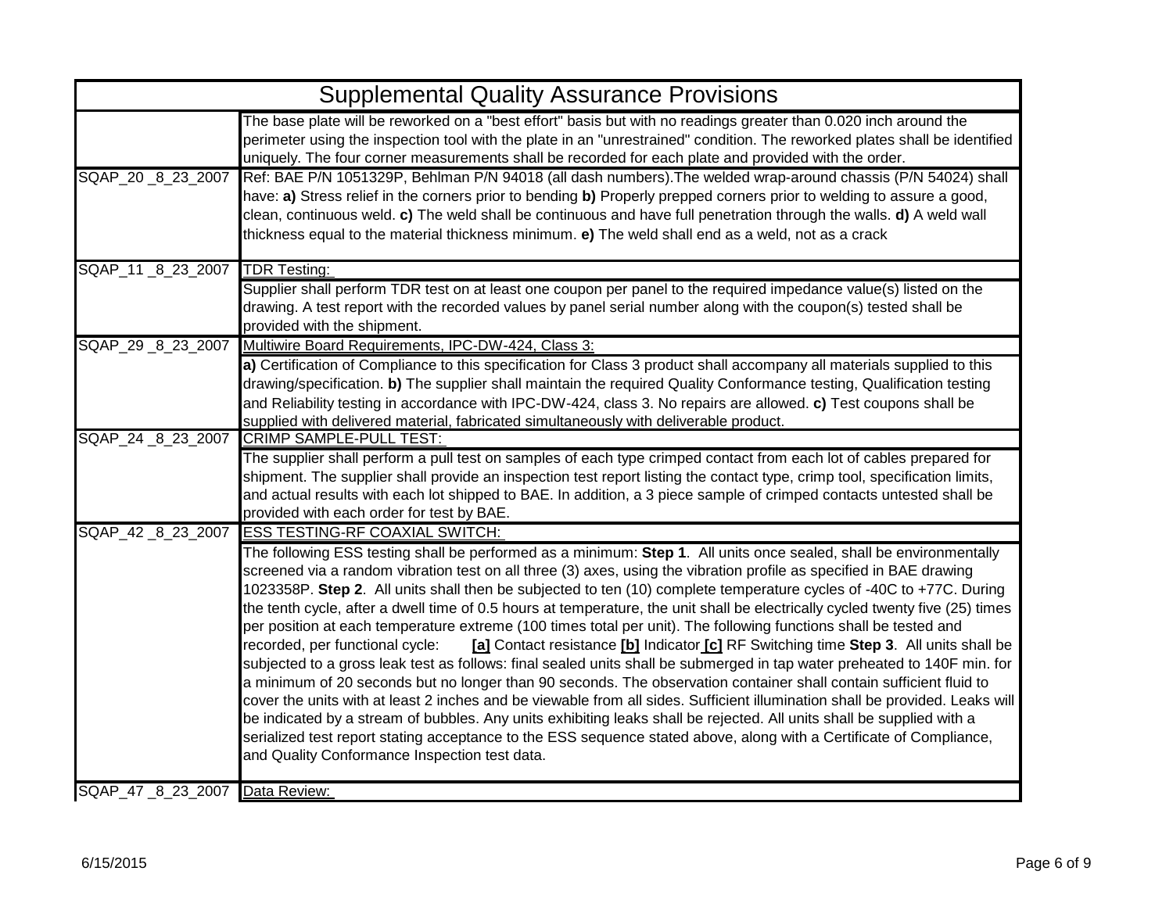|                                | <b>Supplemental Quality Assurance Provisions</b>                                                                                                                                                                                                                                                                                                                                                                                                                                                                                                                                                                                                                                                                                                                                                                                                                                                                                                                                                                                                                                                                                                                                                                                                                                                                                                                                                                                                                              |
|--------------------------------|-------------------------------------------------------------------------------------------------------------------------------------------------------------------------------------------------------------------------------------------------------------------------------------------------------------------------------------------------------------------------------------------------------------------------------------------------------------------------------------------------------------------------------------------------------------------------------------------------------------------------------------------------------------------------------------------------------------------------------------------------------------------------------------------------------------------------------------------------------------------------------------------------------------------------------------------------------------------------------------------------------------------------------------------------------------------------------------------------------------------------------------------------------------------------------------------------------------------------------------------------------------------------------------------------------------------------------------------------------------------------------------------------------------------------------------------------------------------------------|
|                                | The base plate will be reworked on a "best effort" basis but with no readings greater than 0.020 inch around the<br>perimeter using the inspection tool with the plate in an "unrestrained" condition. The reworked plates shall be identified<br>uniquely. The four corner measurements shall be recorded for each plate and provided with the order.                                                                                                                                                                                                                                                                                                                                                                                                                                                                                                                                                                                                                                                                                                                                                                                                                                                                                                                                                                                                                                                                                                                        |
| SQAP_20 _8 _23 _2007           | Ref: BAE P/N 1051329P, Behlman P/N 94018 (all dash numbers). The welded wrap-around chassis (P/N 54024) shall<br>have: a) Stress relief in the corners prior to bending b) Properly prepped corners prior to welding to assure a good,<br>clean, continuous weld. c) The weld shall be continuous and have full penetration through the walls. d) A weld wall<br>thickness equal to the material thickness minimum. e) The weld shall end as a weld, not as a crack                                                                                                                                                                                                                                                                                                                                                                                                                                                                                                                                                                                                                                                                                                                                                                                                                                                                                                                                                                                                           |
| SQAP_11 _8_23_2007             | <b>TDR Testing:</b><br>Supplier shall perform TDR test on at least one coupon per panel to the required impedance value(s) listed on the<br>drawing. A test report with the recorded values by panel serial number along with the coupon(s) tested shall be<br>provided with the shipment.                                                                                                                                                                                                                                                                                                                                                                                                                                                                                                                                                                                                                                                                                                                                                                                                                                                                                                                                                                                                                                                                                                                                                                                    |
|                                | SQAP_29 _8_23_2007 Multiwire Board Requirements, IPC-DW-424, Class 3:<br>a) Certification of Compliance to this specification for Class 3 product shall accompany all materials supplied to this<br>drawing/specification. b) The supplier shall maintain the required Quality Conformance testing, Qualification testing<br>and Reliability testing in accordance with IPC-DW-424, class 3. No repairs are allowed. c) Test coupons shall be<br>supplied with delivered material, fabricated simultaneously with deliverable product.                                                                                                                                                                                                                                                                                                                                                                                                                                                                                                                                                                                                                                                                                                                                                                                                                                                                                                                                        |
| SQAP_24 _8_23_2007             | <b>CRIMP SAMPLE-PULL TEST:</b><br>The supplier shall perform a pull test on samples of each type crimped contact from each lot of cables prepared for<br>shipment. The supplier shall provide an inspection test report listing the contact type, crimp tool, specification limits,<br>and actual results with each lot shipped to BAE. In addition, a 3 piece sample of crimped contacts untested shall be<br>provided with each order for test by BAE.                                                                                                                                                                                                                                                                                                                                                                                                                                                                                                                                                                                                                                                                                                                                                                                                                                                                                                                                                                                                                      |
| SQAP_42 _8_23_2007             | <b>ESS TESTING-RF COAXIAL SWITCH:</b><br>The following ESS testing shall be performed as a minimum: Step 1. All units once sealed, shall be environmentally<br>screened via a random vibration test on all three (3) axes, using the vibration profile as specified in BAE drawing<br>1023358P. Step 2. All units shall then be subjected to ten (10) complete temperature cycles of -40C to +77C. During<br>the tenth cycle, after a dwell time of 0.5 hours at temperature, the unit shall be electrically cycled twenty five (25) times<br>per position at each temperature extreme (100 times total per unit). The following functions shall be tested and<br>recorded, per functional cycle:<br>[a] Contact resistance [b] Indicator [c] RF Switching time Step 3. All units shall be<br>subjected to a gross leak test as follows: final sealed units shall be submerged in tap water preheated to 140F min. for<br>a minimum of 20 seconds but no longer than 90 seconds. The observation container shall contain sufficient fluid to<br>cover the units with at least 2 inches and be viewable from all sides. Sufficient illumination shall be provided. Leaks will<br>be indicated by a stream of bubbles. Any units exhibiting leaks shall be rejected. All units shall be supplied with a<br>serialized test report stating acceptance to the ESS sequence stated above, along with a Certificate of Compliance,<br>and Quality Conformance Inspection test data. |
| SQAP 47 8 23 2007 Data Review: |                                                                                                                                                                                                                                                                                                                                                                                                                                                                                                                                                                                                                                                                                                                                                                                                                                                                                                                                                                                                                                                                                                                                                                                                                                                                                                                                                                                                                                                                               |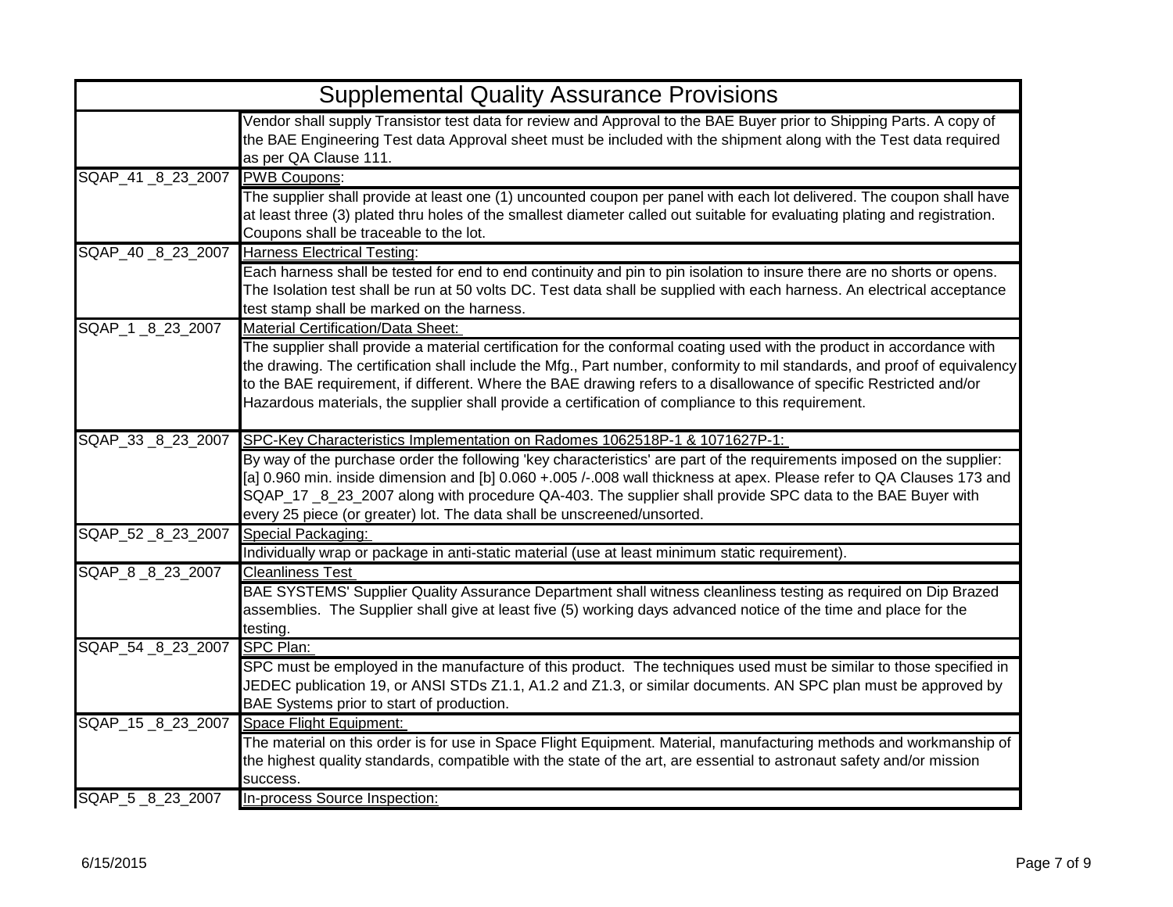|                      | <b>Supplemental Quality Assurance Provisions</b>                                                                                                                                                                                                                                                                                                                                                                                                                                                                                        |
|----------------------|-----------------------------------------------------------------------------------------------------------------------------------------------------------------------------------------------------------------------------------------------------------------------------------------------------------------------------------------------------------------------------------------------------------------------------------------------------------------------------------------------------------------------------------------|
|                      | Vendor shall supply Transistor test data for review and Approval to the BAE Buyer prior to Shipping Parts. A copy of<br>the BAE Engineering Test data Approval sheet must be included with the shipment along with the Test data required<br>as per QA Clause 111.                                                                                                                                                                                                                                                                      |
| SQAP_41 _8 _23 _2007 | <b>PWB Coupons:</b><br>The supplier shall provide at least one (1) uncounted coupon per panel with each lot delivered. The coupon shall have<br>at least three (3) plated thru holes of the smallest diameter called out suitable for evaluating plating and registration.<br>Coupons shall be traceable to the lot.                                                                                                                                                                                                                    |
| SQAP_40 _8 23 2007   | Harness Electrical Testing:<br>Each harness shall be tested for end to end continuity and pin to pin isolation to insure there are no shorts or opens.<br>The Isolation test shall be run at 50 volts DC. Test data shall be supplied with each harness. An electrical acceptance<br>test stamp shall be marked on the harness.                                                                                                                                                                                                         |
| SQAP_1 _8 _23 _2007  | <b>Material Certification/Data Sheet:</b><br>The supplier shall provide a material certification for the conformal coating used with the product in accordance with<br>the drawing. The certification shall include the Mfg., Part number, conformity to mil standards, and proof of equivalency<br>to the BAE requirement, if different. Where the BAE drawing refers to a disallowance of specific Restricted and/or<br>Hazardous materials, the supplier shall provide a certification of compliance to this requirement.            |
|                      | SQAP_33_8_23_2007 SPC-Key Characteristics Implementation on Radomes 1062518P-1 & 1071627P-1:<br>By way of the purchase order the following 'key characteristics' are part of the requirements imposed on the supplier:<br>[a] 0.960 min. inside dimension and [b] 0.060 +.005 /-.008 wall thickness at apex. Please refer to QA Clauses 173 and<br>SQAP_17 _8_23_2007 along with procedure QA-403. The supplier shall provide SPC data to the BAE Buyer with<br>every 25 piece (or greater) lot. The data shall be unscreened/unsorted. |
| SQAP_52 8 23 2007    | Special Packaging:<br>Individually wrap or package in anti-static material (use at least minimum static requirement).                                                                                                                                                                                                                                                                                                                                                                                                                   |
| SQAP 8 8 23 2007     | <b>Cleanliness Test</b><br>BAE SYSTEMS' Supplier Quality Assurance Department shall witness cleanliness testing as required on Dip Brazed<br>assemblies. The Supplier shall give at least five (5) working days advanced notice of the time and place for the<br>testing.                                                                                                                                                                                                                                                               |
| SQAP_54 _8_23_2007   | SPC Plan:<br>SPC must be employed in the manufacture of this product. The techniques used must be similar to those specified in<br>JEDEC publication 19, or ANSI STDs Z1.1, A1.2 and Z1.3, or similar documents. AN SPC plan must be approved by<br>BAE Systems prior to start of production.                                                                                                                                                                                                                                           |
| SQAP_15 _8_23_2007   | Space Flight Equipment:<br>The material on this order is for use in Space Flight Equipment. Material, manufacturing methods and workmanship of<br>the highest quality standards, compatible with the state of the art, are essential to astronaut safety and/or mission<br>success.                                                                                                                                                                                                                                                     |
| SQAP 5 8 23 2007     | In-process Source Inspection:                                                                                                                                                                                                                                                                                                                                                                                                                                                                                                           |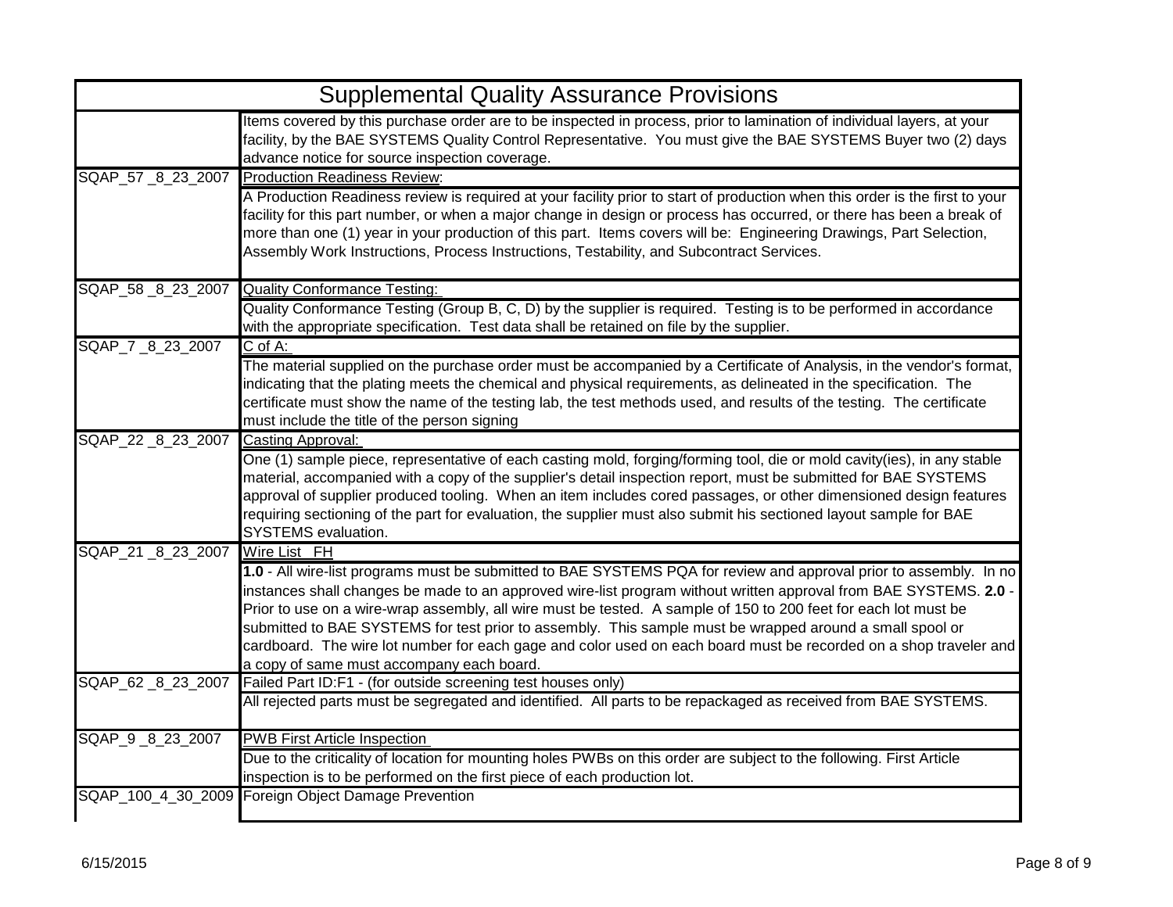|                      | <b>Supplemental Quality Assurance Provisions</b>                                                                                                                                                                                                                                                                                                                                                                                                                                                                                                                                                                                         |
|----------------------|------------------------------------------------------------------------------------------------------------------------------------------------------------------------------------------------------------------------------------------------------------------------------------------------------------------------------------------------------------------------------------------------------------------------------------------------------------------------------------------------------------------------------------------------------------------------------------------------------------------------------------------|
|                      | Items covered by this purchase order are to be inspected in process, prior to lamination of individual layers, at your<br>facility, by the BAE SYSTEMS Quality Control Representative. You must give the BAE SYSTEMS Buyer two (2) days<br>advance notice for source inspection coverage.                                                                                                                                                                                                                                                                                                                                                |
|                      | SQAP 57 8 23 2007 Production Readiness Review:                                                                                                                                                                                                                                                                                                                                                                                                                                                                                                                                                                                           |
|                      | A Production Readiness review is required at your facility prior to start of production when this order is the first to your<br>facility for this part number, or when a major change in design or process has occurred, or there has been a break of<br>more than one (1) year in your production of this part. Items covers will be: Engineering Drawings, Part Selection,<br>Assembly Work Instructions, Process Instructions, Testability, and Subcontract Services.                                                                                                                                                                 |
|                      | SQAP_58 _8 _23 _2007 Quality Conformance Testing:                                                                                                                                                                                                                                                                                                                                                                                                                                                                                                                                                                                        |
|                      | Quality Conformance Testing (Group B, C, D) by the supplier is required. Testing is to be performed in accordance<br>with the appropriate specification. Test data shall be retained on file by the supplier.                                                                                                                                                                                                                                                                                                                                                                                                                            |
| SQAP_7 _8_23_2007    | $C$ of A:                                                                                                                                                                                                                                                                                                                                                                                                                                                                                                                                                                                                                                |
|                      | The material supplied on the purchase order must be accompanied by a Certificate of Analysis, in the vendor's format,<br>indicating that the plating meets the chemical and physical requirements, as delineated in the specification. The<br>certificate must show the name of the testing lab, the test methods used, and results of the testing. The certificate<br>must include the title of the person signing                                                                                                                                                                                                                      |
| SQAP_22 _8 23 2007   | Casting Approval:                                                                                                                                                                                                                                                                                                                                                                                                                                                                                                                                                                                                                        |
|                      | One (1) sample piece, representative of each casting mold, forging/forming tool, die or mold cavity(ies), in any stable<br>material, accompanied with a copy of the supplier's detail inspection report, must be submitted for BAE SYSTEMS<br>approval of supplier produced tooling. When an item includes cored passages, or other dimensioned design features<br>requiring sectioning of the part for evaluation, the supplier must also submit his sectioned layout sample for BAE<br><b>SYSTEMS</b> evaluation.                                                                                                                      |
| SQAP_21 _8 _23 _2007 | Wire List FH                                                                                                                                                                                                                                                                                                                                                                                                                                                                                                                                                                                                                             |
|                      | 1.0 - All wire-list programs must be submitted to BAE SYSTEMS PQA for review and approval prior to assembly. In no<br>instances shall changes be made to an approved wire-list program without written approval from BAE SYSTEMS. 2.0 -<br>Prior to use on a wire-wrap assembly, all wire must be tested. A sample of 150 to 200 feet for each lot must be<br>submitted to BAE SYSTEMS for test prior to assembly. This sample must be wrapped around a small spool or<br>cardboard. The wire lot number for each gage and color used on each board must be recorded on a shop traveler and<br>a copy of same must accompany each board. |
| SQAP_62 _8_23_2007   | Failed Part ID:F1 - (for outside screening test houses only)                                                                                                                                                                                                                                                                                                                                                                                                                                                                                                                                                                             |
|                      | All rejected parts must be segregated and identified. All parts to be repackaged as received from BAE SYSTEMS.                                                                                                                                                                                                                                                                                                                                                                                                                                                                                                                           |
| SQAP_9_8_23_2007     | <b>PWB First Article Inspection</b>                                                                                                                                                                                                                                                                                                                                                                                                                                                                                                                                                                                                      |
|                      | Due to the criticality of location for mounting holes PWBs on this order are subject to the following. First Article<br>inspection is to be performed on the first piece of each production lot.                                                                                                                                                                                                                                                                                                                                                                                                                                         |
|                      | SQAP_100_4_30_2009 Foreign Object Damage Prevention                                                                                                                                                                                                                                                                                                                                                                                                                                                                                                                                                                                      |